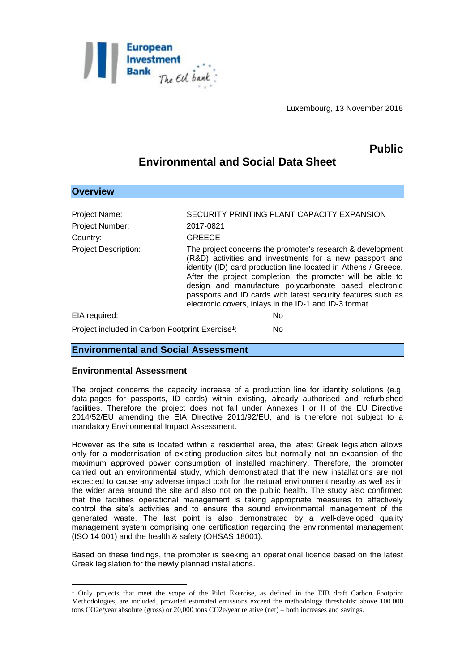

Luxembourg, 13 November 2018

## **Public**

# **Environmental and Social Data Sheet**

| <b>Overview</b>                                                     |                                                                                                                                                                                                                                                                                                                                                                                                                                          |
|---------------------------------------------------------------------|------------------------------------------------------------------------------------------------------------------------------------------------------------------------------------------------------------------------------------------------------------------------------------------------------------------------------------------------------------------------------------------------------------------------------------------|
| Project Name:<br><b>Project Number:</b><br>Country:                 | SECURITY PRINTING PLANT CAPACITY EXPANSION<br>2017-0821<br><b>GREECE</b>                                                                                                                                                                                                                                                                                                                                                                 |
| <b>Project Description:</b>                                         | The project concerns the promoter's research & development<br>(R&D) activities and investments for a new passport and<br>identity (ID) card production line located in Athens / Greece.<br>After the project completion, the promoter will be able to<br>design and manufacture polycarbonate based electronic<br>passports and ID cards with latest security features such as<br>electronic covers, inlays in the ID-1 and ID-3 format. |
| EIA required:                                                       | N <sub>0</sub>                                                                                                                                                                                                                                                                                                                                                                                                                           |
| Project included in Carbon Footprint Exercise <sup>1</sup> :<br>No. |                                                                                                                                                                                                                                                                                                                                                                                                                                          |

### **Environmental and Social Assessment**

#### **Environmental Assessment**

1

The project concerns the capacity increase of a production line for identity solutions (e.g. data-pages for passports, ID cards) within existing, already authorised and refurbished facilities. Therefore the project does not fall under Annexes I or II of the EU Directive 2014/52/EU amending the EIA Directive 2011/92/EU, and is therefore not subject to a mandatory Environmental Impact Assessment.

However as the site is located within a residential area, the latest Greek legislation allows only for a modernisation of existing production sites but normally not an expansion of the maximum approved power consumption of installed machinery. Therefore, the promoter carried out an environmental study, which demonstrated that the new installations are not expected to cause any adverse impact both for the natural environment nearby as well as in the wider area around the site and also not on the public health. The study also confirmed that the facilities operational management is taking appropriate measures to effectively control the site's activities and to ensure the sound environmental management of the generated waste. The last point is also demonstrated by a well-developed quality management system comprising one certification regarding the environmental management (ISO 14 001) and the health & safety (OHSAS 18001).

Based on these findings, the promoter is seeking an operational licence based on the latest Greek legislation for the newly planned installations.

<sup>1</sup> Only projects that meet the scope of the Pilot Exercise, as defined in the EIB draft Carbon Footprint Methodologies, are included, provided estimated emissions exceed the methodology thresholds: above 100 000 tons CO2e/year absolute (gross) or 20,000 tons CO2e/year relative (net) – both increases and savings.